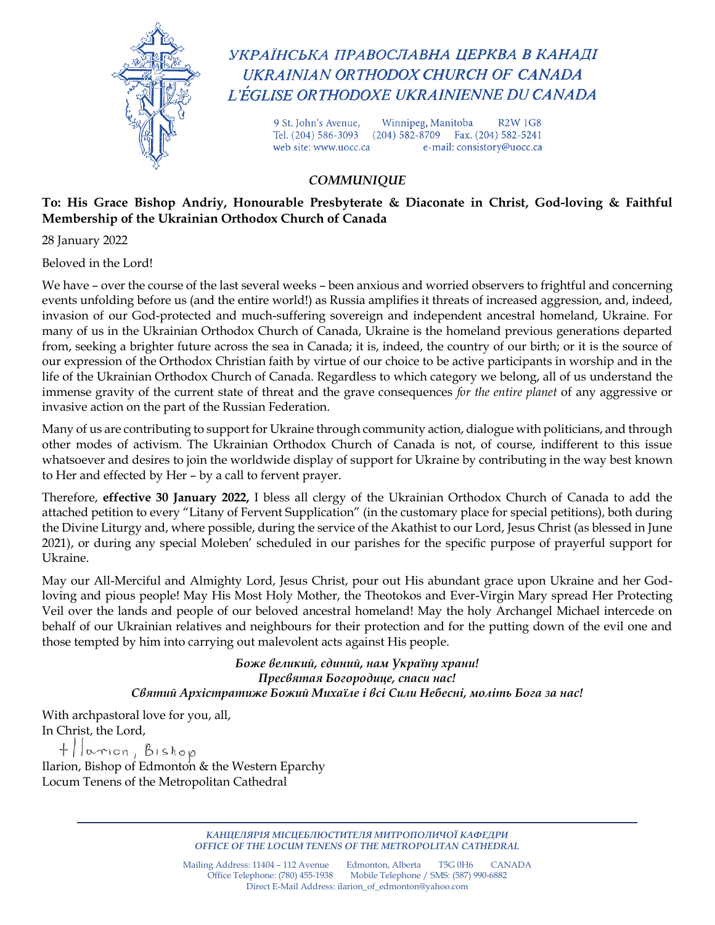

УКРАЇНСЬКА ПРАВОСЛАВНА ЦЕРКВА В КАНАДІ UKRAINIAN ORTHODOX CHURCH OF CANADA L'ÉGLISE ORTHODOXE UKRAINIENNE DU CANADA

> 9 St. John's Avenue, Winnipeg, Manitoba **R2W 1G8** Tel. (204) 586-3093 (204) 582-8709 Fax. (204) 582-5241 e-mail: consistory@uocc.ca web site: www.uocc.ca

## *COMMUNIQUE*

## **To: His Grace Bishop Andriy, Honourable Presbyterate & Diaconate in Christ, God-loving & Faithful Membership of the Ukrainian Orthodox Church of Canada**

28 January 2022

Beloved in the Lord!

We have – over the course of the last several weeks – been anxious and worried observers to frightful and concerning events unfolding before us (and the entire world!) as Russia amplifies it threats of increased aggression, and, indeed, invasion of our God-protected and much-suffering sovereign and independent ancestral homeland, Ukraine. For many of us in the Ukrainian Orthodox Church of Canada, Ukraine is the homeland previous generations departed from, seeking a brighter future across the sea in Canada; it is, indeed, the country of our birth; or it is the source of our expression of the Orthodox Christian faith by virtue of our choice to be active participants in worship and in the life of the Ukrainian Orthodox Church of Canada. Regardless to which category we belong, all of us understand the immense gravity of the current state of threat and the grave consequences *for the entire planet* of any aggressive or invasive action on the part of the Russian Federation.

Many of us are contributing to support for Ukraine through community action, dialogue with politicians, and through other modes of activism. The Ukrainian Orthodox Church of Canada is not, of course, indifferent to this issue whatsoever and desires to join the worldwide display of support for Ukraine by contributing in the way best known to Her and effected by Her – by a call to fervent prayer.

Therefore, **effective 30 January 2022,** I bless all clergy of the Ukrainian Orthodox Church of Canada to add the attached petition to every "Litany of Fervent Supplication" (in the customary place for special petitions), both during the Divine Liturgy and, where possible, during the service of the Akathist to our Lord, Jesus Christ (as blessed in June 2021), or during any special Moleben' scheduled in our parishes for the specific purpose of prayerful support for Ukraine.

May our All-Merciful and Almighty Lord, Jesus Christ, pour out His abundant grace upon Ukraine and her Godloving and pious people! May His Most Holy Mother, the Theotokos and Ever-Virgin Mary spread Her Protecting Veil over the lands and people of our beloved ancestral homeland! May the holy Archangel Michael intercede on behalf of our Ukrainian relatives and neighbours for their protection and for the putting down of the evil one and those tempted by him into carrying out malevolent acts against His people.

> *Боже великий, єдиний, нам Україну храни! Пресвятая Богородице, спаси нас! Святий Архістратиже Божий Михаїле і всі Сили Небесні, моліть Бога за нас!*

With archpastoral love for you, all, In Christ, the Lord,

+ larion, Bishop Ilarion, Bishop of Edmonton & the Western Eparchy Locum Tenens of the Metropolitan Cathedral

> *КАНЦЕЛЯРІЯ МІСЦЕБЛЮСТИТЕЛЯ МИТРОПОЛИЧОЇ КАФЕДРИ OFFICE OF THE LOCUM TENENS OF THE METROPOLITAN CATHEDRAL*